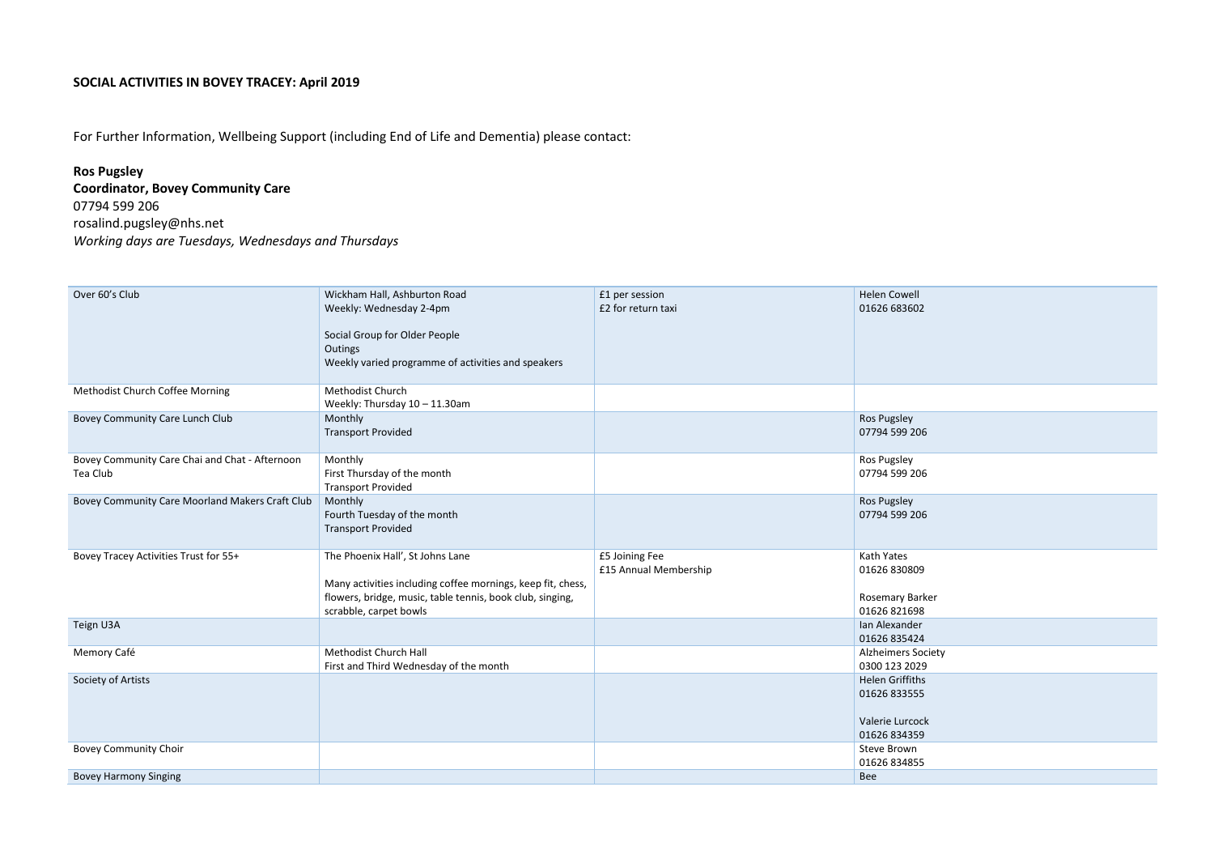## **SOCIAL ACTIVITIES IN BOVEY TRACEY: April 2019**

For Further Information, Wellbeing Support (including End of Life and Dementia) please contact:

## **Ros Pugsley Coordinator, Bovey Community Care**

07794 599 206 rosalind.pugsley@nhs.net *Working days are Tuesdays, Wednesdays and Thursdays*

| Over 60's Club                                             | Wickham Hall, Ashburton Road<br>Weekly: Wednesday 2-4pm<br>Social Group for Older People<br>Outings<br>Weekly varied programme of activities and speakers                              | £1 per session<br>£2 for return taxi    | <b>Helen Cowell</b><br>01626 683602                                       |
|------------------------------------------------------------|----------------------------------------------------------------------------------------------------------------------------------------------------------------------------------------|-----------------------------------------|---------------------------------------------------------------------------|
| Methodist Church Coffee Morning                            | Methodist Church<br>Weekly: Thursday 10 - 11.30am                                                                                                                                      |                                         |                                                                           |
| <b>Bovey Community Care Lunch Club</b>                     | Monthly<br><b>Transport Provided</b>                                                                                                                                                   |                                         | Ros Pugsley<br>07794 599 206                                              |
| Bovey Community Care Chai and Chat - Afternoon<br>Tea Club | Monthly<br>First Thursday of the month<br><b>Transport Provided</b>                                                                                                                    |                                         | Ros Pugsley<br>07794 599 206                                              |
| Bovey Community Care Moorland Makers Craft Club            | Monthly<br>Fourth Tuesday of the month<br><b>Transport Provided</b>                                                                                                                    |                                         | Ros Pugsley<br>07794 599 206                                              |
| Bovey Tracey Activities Trust for 55+                      | The Phoenix Hall', St Johns Lane<br>Many activities including coffee mornings, keep fit, chess,<br>flowers, bridge, music, table tennis, book club, singing,<br>scrabble, carpet bowls | £5 Joining Fee<br>£15 Annual Membership | Kath Yates<br>01626 830809<br><b>Rosemary Barker</b><br>01626 821698      |
| Teign U3A                                                  |                                                                                                                                                                                        |                                         | Ian Alexander<br>01626 835424                                             |
| Memory Café                                                | Methodist Church Hall<br>First and Third Wednesday of the month                                                                                                                        |                                         | <b>Alzheimers Society</b><br>0300 123 2029                                |
| Society of Artists                                         |                                                                                                                                                                                        |                                         | <b>Helen Griffiths</b><br>01626 833555<br>Valerie Lurcock<br>01626 834359 |
| <b>Bovey Community Choir</b>                               |                                                                                                                                                                                        |                                         | <b>Steve Brown</b><br>01626 834855                                        |
| <b>Bovey Harmony Singing</b>                               |                                                                                                                                                                                        |                                         | <b>Bee</b>                                                                |